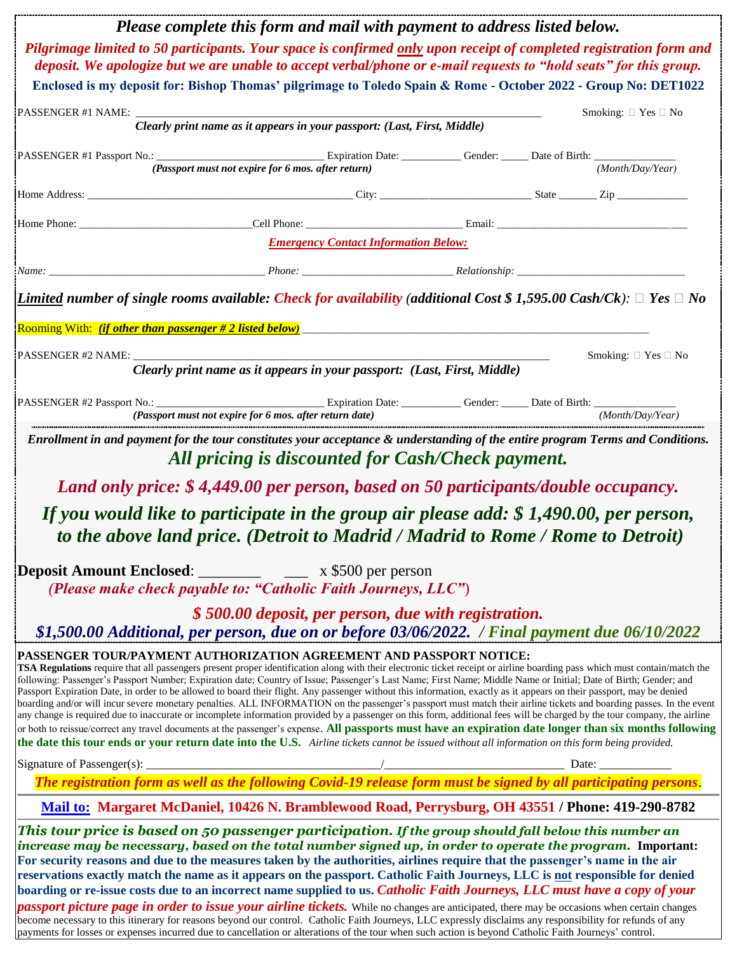| Please complete this form and mail with payment to address listed below.                                                                                                                                                                                                                                                                                                                                                                                                                                                                                                                                                                                                                                                                                                                                                                                                                                                                                                                                                                                                                                                                                                                                                                                           |  |                               |
|--------------------------------------------------------------------------------------------------------------------------------------------------------------------------------------------------------------------------------------------------------------------------------------------------------------------------------------------------------------------------------------------------------------------------------------------------------------------------------------------------------------------------------------------------------------------------------------------------------------------------------------------------------------------------------------------------------------------------------------------------------------------------------------------------------------------------------------------------------------------------------------------------------------------------------------------------------------------------------------------------------------------------------------------------------------------------------------------------------------------------------------------------------------------------------------------------------------------------------------------------------------------|--|-------------------------------|
| Pilgrimage limited to 50 participants. Your space is confirmed only upon receipt of completed registration form and<br>deposit. We apologize but we are unable to accept verbal/phone or e-mail requests to "hold seats" for this group.                                                                                                                                                                                                                                                                                                                                                                                                                                                                                                                                                                                                                                                                                                                                                                                                                                                                                                                                                                                                                           |  |                               |
| Enclosed is my deposit for: Bishop Thomas' pilgrimage to Toledo Spain & Rome - October 2022 - Group No: DET1022                                                                                                                                                                                                                                                                                                                                                                                                                                                                                                                                                                                                                                                                                                                                                                                                                                                                                                                                                                                                                                                                                                                                                    |  |                               |
| Clearly print name as it appears in your passport: (Last, First, Middle)                                                                                                                                                                                                                                                                                                                                                                                                                                                                                                                                                                                                                                                                                                                                                                                                                                                                                                                                                                                                                                                                                                                                                                                           |  | Smoking: $\Box$ Yes $\Box$ No |
|                                                                                                                                                                                                                                                                                                                                                                                                                                                                                                                                                                                                                                                                                                                                                                                                                                                                                                                                                                                                                                                                                                                                                                                                                                                                    |  |                               |
| (Passport must not expire for 6 mos. after return)                                                                                                                                                                                                                                                                                                                                                                                                                                                                                                                                                                                                                                                                                                                                                                                                                                                                                                                                                                                                                                                                                                                                                                                                                 |  | (Month/Day/Year)              |
|                                                                                                                                                                                                                                                                                                                                                                                                                                                                                                                                                                                                                                                                                                                                                                                                                                                                                                                                                                                                                                                                                                                                                                                                                                                                    |  |                               |
|                                                                                                                                                                                                                                                                                                                                                                                                                                                                                                                                                                                                                                                                                                                                                                                                                                                                                                                                                                                                                                                                                                                                                                                                                                                                    |  |                               |
| <b>Emergency Contact Information Below:</b>                                                                                                                                                                                                                                                                                                                                                                                                                                                                                                                                                                                                                                                                                                                                                                                                                                                                                                                                                                                                                                                                                                                                                                                                                        |  |                               |
|                                                                                                                                                                                                                                                                                                                                                                                                                                                                                                                                                                                                                                                                                                                                                                                                                                                                                                                                                                                                                                                                                                                                                                                                                                                                    |  |                               |
| Limited number of single rooms available: Check for availability (additional Cost \$ 1,595.00 Cash/Ck): $\Box$ Yes $\Box$ No<br>Rooming With: <i>(if other than passenger # 2 listed below)</i>                                                                                                                                                                                                                                                                                                                                                                                                                                                                                                                                                                                                                                                                                                                                                                                                                                                                                                                                                                                                                                                                    |  |                               |
|                                                                                                                                                                                                                                                                                                                                                                                                                                                                                                                                                                                                                                                                                                                                                                                                                                                                                                                                                                                                                                                                                                                                                                                                                                                                    |  | Smoking: $\Box$ Yes $\Box$ No |
| Clearly print name as it appears in your passport: (Last, First, Middle)                                                                                                                                                                                                                                                                                                                                                                                                                                                                                                                                                                                                                                                                                                                                                                                                                                                                                                                                                                                                                                                                                                                                                                                           |  |                               |
|                                                                                                                                                                                                                                                                                                                                                                                                                                                                                                                                                                                                                                                                                                                                                                                                                                                                                                                                                                                                                                                                                                                                                                                                                                                                    |  |                               |
| $(Passport must not explore for 6 m. after return date)$                                                                                                                                                                                                                                                                                                                                                                                                                                                                                                                                                                                                                                                                                                                                                                                                                                                                                                                                                                                                                                                                                                                                                                                                           |  | (Month/Day/Year)              |
| Land only price: \$4,449.00 per person, based on 50 participants/double occupancy.<br>If you would like to participate in the group air please add: $$1,490.00,$ per person,<br>to the above land price. (Detroit to Madrid / Madrid to Rome / Rome to Detroit)                                                                                                                                                                                                                                                                                                                                                                                                                                                                                                                                                                                                                                                                                                                                                                                                                                                                                                                                                                                                    |  |                               |
|                                                                                                                                                                                                                                                                                                                                                                                                                                                                                                                                                                                                                                                                                                                                                                                                                                                                                                                                                                                                                                                                                                                                                                                                                                                                    |  |                               |
| (Please make check payable to: "Catholic Faith Journeys, LLC")                                                                                                                                                                                                                                                                                                                                                                                                                                                                                                                                                                                                                                                                                                                                                                                                                                                                                                                                                                                                                                                                                                                                                                                                     |  |                               |
| \$500.00 deposit, per person, due with registration.                                                                                                                                                                                                                                                                                                                                                                                                                                                                                                                                                                                                                                                                                                                                                                                                                                                                                                                                                                                                                                                                                                                                                                                                               |  |                               |
| \$1,500.00 Additional, per person, due on or before 03/06/2022. / Final payment due 06/10/2022                                                                                                                                                                                                                                                                                                                                                                                                                                                                                                                                                                                                                                                                                                                                                                                                                                                                                                                                                                                                                                                                                                                                                                     |  |                               |
| PASSENGER TOUR/PAYMENT AUTHORIZATION AGREEMENT AND PASSPORT NOTICE:<br>TSA Regulations require that all passengers present proper identification along with their electronic ticket receipt or airline boarding pass which must contain/match the<br>following: Passenger's Passport Number; Expiration date; Country of Issue; Passenger's Last Name; First Name; Middle Name or Initial; Date of Birth; Gender; and<br>Passport Expiration Date, in order to be allowed to board their flight. Any passenger without this information, exactly as it appears on their passport, may be denied<br>boarding and/or will incur severe monetary penalties. ALL INFORMATION on the passenger's passport must match their airline tickets and boarding passes. In the event<br>any change is required due to inaccurate or incomplete information provided by a passenger on this form, additional fees will be charged by the tour company, the airline<br>or both to reissue/correct any travel documents at the passenger's expense. All passports must have an expiration date longer than six months following<br>the date this tour ends or your return date into the U.S. Airline tickets cannot be issued without all information on this form being provided. |  |                               |
|                                                                                                                                                                                                                                                                                                                                                                                                                                                                                                                                                                                                                                                                                                                                                                                                                                                                                                                                                                                                                                                                                                                                                                                                                                                                    |  |                               |
|                                                                                                                                                                                                                                                                                                                                                                                                                                                                                                                                                                                                                                                                                                                                                                                                                                                                                                                                                                                                                                                                                                                                                                                                                                                                    |  |                               |
| Mail to: Margaret McDaniel, 10426 N. Bramblewood Road, Perrysburg, OH 43551 / Phone: 419-290-8782                                                                                                                                                                                                                                                                                                                                                                                                                                                                                                                                                                                                                                                                                                                                                                                                                                                                                                                                                                                                                                                                                                                                                                  |  |                               |
| This tour price is based on 50 passenger participation. If the group should fall below this number an<br>increase may be necessary, based on the total number signed up, in order to operate the program. Important:<br>For security reasons and due to the measures taken by the authorities, airlines require that the passenger's name in the air<br>reservations exactly match the name as it appears on the passport. Catholic Faith Journeys, LLC is not responsible for denied<br>boarding or re-issue costs due to an incorrect name supplied to us. Catholic Faith Journeys, LLC must have a copy of your<br><i>passport picture page in order to issue your airline tickets</i> . While no changes are anticipated, there may be occasions when certain changes<br>become necessary to this itinerary for reasons beyond our control. Catholic Faith Journeys, LLC expressly disclaims any responsibility for refunds of any<br>payments for losses or expenses incurred due to cancellation or alterations of the tour when such action is beyond Catholic Faith Journeys' control.                                                                                                                                                                     |  |                               |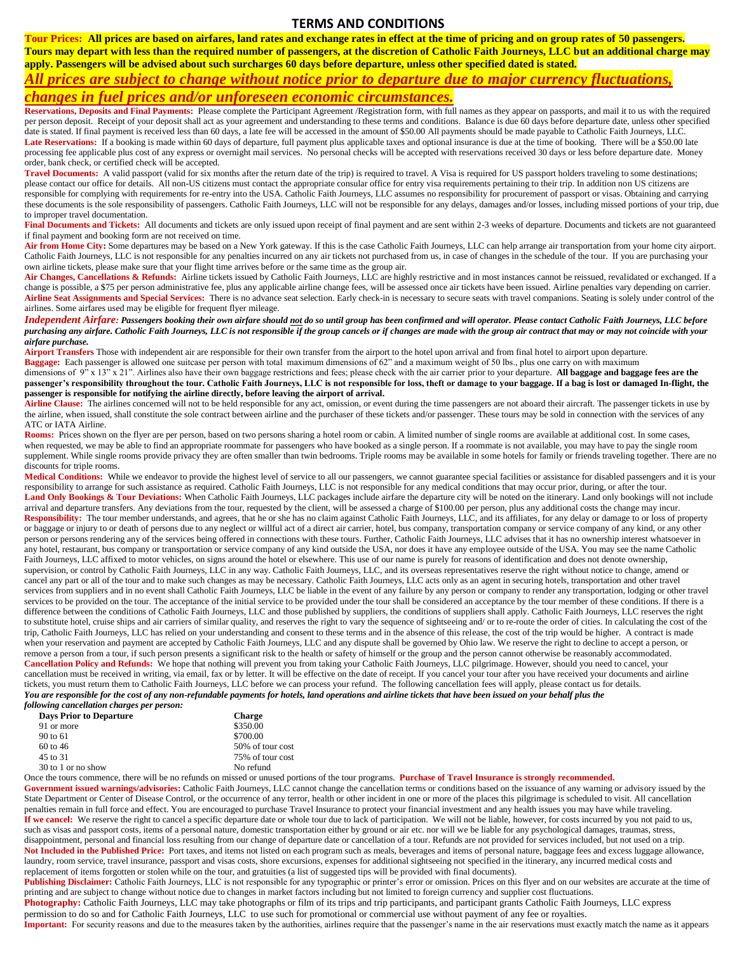#### **TERMS AND CONDITIONS**

**Tour Prices: All prices are based on airfares, land rates and exchange rates in effect at the time of pricing and on group rates of 50 passengers. Tours may depart with less than the required number of passengers, at the discretion of Catholic Faith Journeys, LLC but an additional charge may apply. Passengers will be advised about such surcharges 60 days before departure, unless other specified dated is stated.** 

### *All prices are subject to change without notice prior to departure due to major currency fluctuations, changes in fuel prices and/or unforeseen economic circumstances.*

**Reservations, Deposits and Final Payments:** Please complete the Participant Agreement /Registration form, with full names as they appear on passports, and mail it to us with the required per person deposit. Receipt of your deposit shall act as your agreement and understanding to these terms and conditions. Balance is due 60 days before departure date, unless other specified date is stated. If final payment is received less than 60 days, a late fee will be accessed in the amount of \$50.00 All payments should be made payable to Catholic Faith Journeys, LLC. Late Reservations: If a booking is made within 60 days of departure, full payment plus applicable taxes and optional insurance is due at the time of booking. There will be a \$50.00 late processing fee applicable plus cost of any express or overnight mail services. No personal checks will be accepted with reservations received 30 days or less before departure date. Money

order, bank check, or certified check will be accepted. Travel Documents: A valid passport (valid for six months after the return date of the trip) is required to travel. A Visa is required for US passport holders traveling to some destinations; please contact our office for details. All non-US citizens must contact the appropriate consular office for entry visa requirements pertaining to their trip. In addition non US citizens are responsible for complying with requirements for re-entry into the USA. Catholic Faith Journeys, LLC assumes no responsibility for procurement of passport or visas. Obtaining and carrying these documents is the sole responsibility of passengers. Catholic Faith Journeys, LLC will not be responsible for any delays, damages and/or losses, including missed portions of your trip, due to improper travel documentation.

Final Documents and Tickets: All documents and tickets are only issued upon receipt of final payment and are sent within 2-3 weeks of departure. Documents and tickets are not guaranteed if final payment and booking form are not received on time.

Air from Home City: Some departures may be based on a New York gateway. If this is the case Catholic Faith Journeys, LLC can help arrange air transportation from your home city airport. Catholic Faith Journeys, LLC is not responsible for any penalties incurred on any air tickets not purchased from us, in case of changes in the schedule of the tour. If you are purchasing your own airline tickets, please make sure that your flight time arrives before or the same time as the group air.

Air Changes, Cancellations & Refunds: Airline tickets issued by Catholic Faith Journeys, LLC are highly restrictive and in most instances cannot be reissued, revalidated or exchanged. If a change is possible, a \$75 per person administrative fee, plus any applicable airline change fees, will be assessed once air tickets have been issued. Airline penalties vary depending on carrier. Airline Seat Assignments and Special Services: There is no advance seat selection. Early check-in is necessary to secure seats with travel companions. Seating is solely under control of the airlines. Some airfares used may be eligible for frequent flyer mileage.

#### *Independent Airfare: Passengers booking their own airfare should not do so until group has been confirmed and will operator. Please contact Catholic Faith Journeys, LLC before purchasing any airfare. Catholic Faith Journeys, LLC is not responsible if the group cancels or if changes are made with the group air contract that may or may not coincide with your airfare purchase.*

**Airport Transfers** Those with independent air are responsible for their own transfer from the airport to the hotel upon arrival and from final hotel to airport upon departure.

**Baggage:** Each passenger is allowed one suitcase per person with total maximum dimensions of 62" and a maximum weight of 50 lbs., plus one carry on with maximum

dimensions of 9<sup>"</sup> x 13" x 21". Airlines also have their own baggage restrictions and fees; please check with the air carrier prior to your departure. **All baggage and baggage fees are the passenger's responsibility throughout the tour. Catholic Faith Journeys, LLC is not responsible for loss, theft or damage to your baggage. If a bag is lost or damaged In-flight, the passenger is responsible for notifying the airline directly, before leaving the airport of arrival.** 

Airline Clause: The airlines concerned will not to be held responsible for any act, omission, or event during the time passengers are not aboard their aircraft. The passenger tickets in use by the airline, when issued, shall constitute the sole contract between airline and the purchaser of these tickets and/or passenger. These tours may be sold in connection with the services of any ATC or IATA Airline.

Rooms: Prices shown on the flyer are per person, based on two persons sharing a hotel room or cabin. A limited number of single rooms are available at additional cost. In some cases, when requested, we may be able to find an appropriate roommate for passengers who have booked as a single person. If a roommate is not available, you may have to pay the single room supplement. While single rooms provide privacy they are often smaller than twin bedrooms. Triple rooms may be available in some hotels for family or friends traveling together. There are no discounts for triple rooms.

Medical Conditions: While we endeavor to provide the highest level of service to all our passengers, we cannot guarantee special facilities or assistance for disabled passengers and it is your responsibility to arrange for such assistance as required. Catholic Faith Journeys, LLC is not responsible for any medical conditions that may occur prior, during, or after the tour. Land Only Bookings & Tour Deviations: When Catholic Faith Journeys, LLC packages include airfare the departure city will be noted on the itinerary. Land only bookings will not include arrival and departure transfers. Any deviations from the tour, requested by the client, will be assessed a charge of \$100.00 per person, plus any additional costs the change may incur. **Responsibility:** The tour member understands, and agrees, that he or she has no claim against Catholic Faith Journeys, LLC, and its affiliates, for any delay or damage to or loss of property or baggage or injury to or death of persons due to any neglect or willful act of a direct air carrier, hotel, bus company, transportation company or service company of any kind, or any other person or persons rendering any of the services being offered in connections with these tours. Further, Catholic Faith Journeys, LLC advises that it has no ownership interest whatsoever in any hotel, restaurant, bus company or transportation or service company of any kind outside the USA, nor does it have any employee outside of the USA. You may see the name Catholic Faith Journeys, LLC affixed to motor vehicles, on signs around the hotel or elsewhere. This use of our name is purely for reasons of identification and does not denote ownership, supervision, or control by Catholic Faith Journeys, LLC in any way. Catholic Faith Journeys, LLC, and its overseas representatives reserve the right without notice to change, amend or cancel any part or all of the tour and to make such changes as may be necessary. Catholic Faith Journeys, LLC acts only as an agent in securing hotels, transportation and other travel services from suppliers and in no event shall Catholic Faith Journeys, LLC be liable in the event of any failure by any person or company to render any transportation, lodging or other travel services to be provided on the tour. The acceptance of the initial service to be provided under the tour shall be considered an acceptance by the tour member of these conditions. If there is a difference between the conditions of Catholic Faith Journeys, LLC and those published by suppliers, the conditions of suppliers shall apply. Catholic Faith Journeys, LLC reserves the right to substitute hotel, cruise ships and air carriers of similar quality, and reserves the right to vary the sequence of sightseeing and/ or to re-route the order of cities. In calculating the cost of the trip, Catholic Faith Journeys, LLC has relied on your understanding and consent to these terms and in the absence of this release, the cost of the trip would be higher. A contract is made when your reservation and payment are accepted by Catholic Faith Journeys, LLC and any dispute shall be governed by Ohio law. We reserve the right to decline to accept a person, or remove a person from a tour, if such person presents a significant risk to the health or safety of himself or the group and the person cannot otherwise be reasonably accommodated. **Cancellation Policy and Refunds:** We hope that nothing will prevent you from taking your Catholic Faith Journeys, LLC pilgrimage. However, should you need to cancel, your cancellation must be received in writing, via email, fax or by letter. It will be effective on the date of receipt. If you cancel your tour after you have received your documents and airline tickets, you must return them to Catholic Faith Journeys, LLC before we can process your refund. The following cancellation fees will apply, please contact us for details. *You are responsible for the cost of any non-refundable payments for hotels, land operations and airline tickets that have been issued on your behalf plus the following cancellation charges per person:*

| <b>Days Prior to Departure</b> | <b>Charge</b>    |  |
|--------------------------------|------------------|--|
| 91 or more                     | \$350.00         |  |
| 90 to 61                       | \$700.00         |  |
| $60$ to 46                     | 50% of tour cost |  |
| 45 to 31                       | 75% of tour cost |  |
| 30 to 1 or no show             | No refund        |  |

Once the tours commence, there will be no refunds on missed or unused portions of the tour programs. **Purchase of Travel Insurance is strongly recommended.**

Government issued warnings/advisories: Catholic Faith Journeys, LLC cannot change the cancellation terms or conditions based on the issuance of any warning or advisory issued by the State Department or Center of Disease Control, or the occurrence of any terror, health or other incident in one or more of the places this pilgrimage is scheduled to visit. All cancellation penalties remain in full force and effect. You are encouraged to purchase Travel Insurance to protect your financial investment and any health issues you may have while traveling. If we cancel: We reserve the right to cancel a specific departure date or whole tour due to lack of participation. We will not be liable, however, for costs incurred by you not paid to us, such as visas and passport costs, items of a personal nature, domestic transportation either by ground or air etc. nor will we be liable for any psychological damages, traumas, stress, disappointment, personal and financial loss resulting from our change of departure date or cancellation of a tour. Refunds are not provided for services included, but not used on a trip. Not Included in the Published Price: Port taxes, and items not listed on each program such as meals, beverages and items of personal nature, baggage fees and excess luggage allowance, laundry, room service, travel insurance, passport and visas costs, shore excursions, expenses for additional sightseeing not specified in the itinerary, any incurred medical costs and replacement of items forgotten or stolen while on the tour, and gratuities (a list of suggested tips will be provided with final documents).

Publishing Disclaimer: Catholic Faith Journeys, LLC is not responsible for any typographic or printer's error or omission. Prices on this flyer and on our websites are accurate at the time of printing and are subject to change without notice due to changes in market factors including but not limited to foreign currency and supplier cost fluctuations.

**Photography:** Catholic Faith Journeys, LLC may take photographs or film of its trips and trip participants, and participant grants Catholic Faith Journeys, LLC express permission to do so and for Catholic Faith Journeys, LLC to use such for promotional or commercial use without payment of any fee or royalties.

Important: For security reasons and due to the measures taken by the authorities, airlines require that the passenger's name in the air reservations must exactly match the name as it appears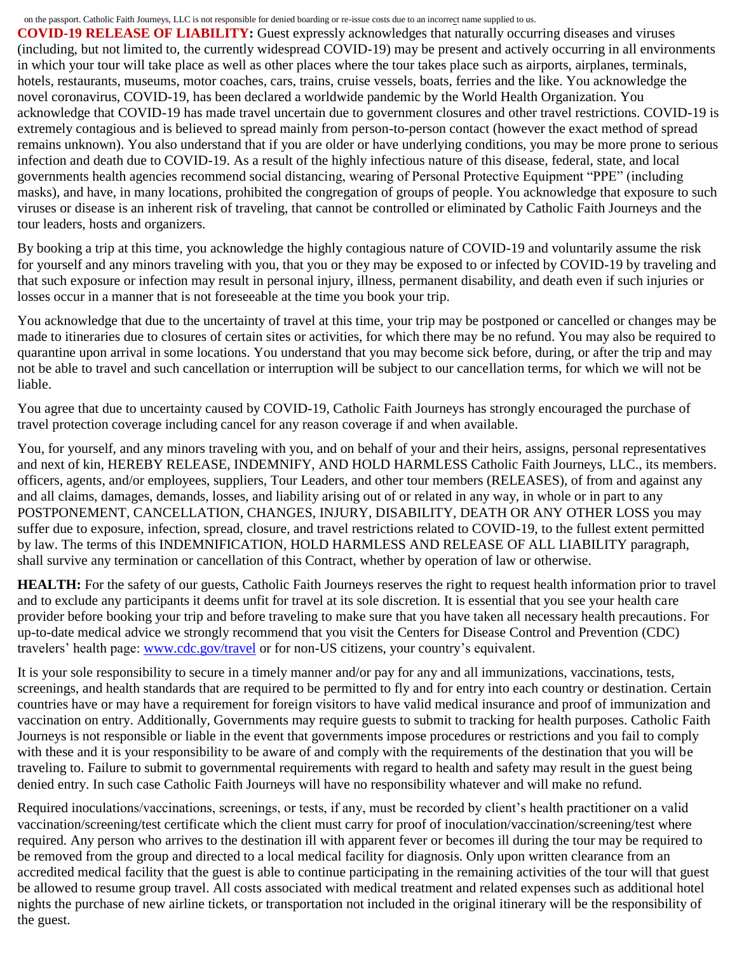#### on the passport. Catholic Faith Journeys, LLC is not responsible for denied boarding or re-issue costs due to an incorrect name supplied to us.

**COVID-19 RELEASE OF LIABILITY:** Guest expressly acknowledges that naturally occurring diseases and viruses (including, but not limited to, the currently widespread COVID-19) may be present and actively occurring in all environments in which your tour will take place as well as other places where the tour takes place such as airports, airplanes, terminals, hotels, restaurants, museums, motor coaches, cars, trains, cruise vessels, boats, ferries and the like. You acknowledge the novel coronavirus, COVID-19, has been declared a worldwide pandemic by the World Health Organization. You acknowledge that COVID-19 has made travel uncertain due to government closures and other travel restrictions. COVID-19 is extremely contagious and is believed to spread mainly from person-to-person contact (however the exact method of spread remains unknown). You also understand that if you are older or have underlying conditions, you may be more prone to serious infection and death due to COVID-19. As a result of the highly infectious nature of this disease, federal, state, and local governments health agencies recommend social distancing, wearing of Personal Protective Equipment "PPE" (including masks), and have, in many locations, prohibited the congregation of groups of people. You acknowledge that exposure to such viruses or disease is an inherent risk of traveling, that cannot be controlled or eliminated by Catholic Faith Journeys and the tour leaders, hosts and organizers.

By booking a trip at this time, you acknowledge the highly contagious nature of COVID-19 and voluntarily assume the risk for yourself and any minors traveling with you, that you or they may be exposed to or infected by COVID-19 by traveling and that such exposure or infection may result in personal injury, illness, permanent disability, and death even if such injuries or losses occur in a manner that is not foreseeable at the time you book your trip.

You acknowledge that due to the uncertainty of travel at this time, your trip may be postponed or cancelled or changes may be made to itineraries due to closures of certain sites or activities, for which there may be no refund. You may also be required to quarantine upon arrival in some locations. You understand that you may become sick before, during, or after the trip and may not be able to travel and such cancellation or interruption will be subject to our cancellation terms, for which we will not be liable.

You agree that due to uncertainty caused by COVID-19, Catholic Faith Journeys has strongly encouraged the purchase of travel protection coverage including cancel for any reason coverage if and when available.

You, for yourself, and any minors traveling with you, and on behalf of your and their heirs, assigns, personal representatives and next of kin, HEREBY RELEASE, INDEMNIFY, AND HOLD HARMLESS Catholic Faith Journeys, LLC., its members. officers, agents, and/or employees, suppliers, Tour Leaders, and other tour members (RELEASES), of from and against any and all claims, damages, demands, losses, and liability arising out of or related in any way, in whole or in part to any POSTPONEMENT, CANCELLATION, CHANGES, INJURY, DISABILITY, DEATH OR ANY OTHER LOSS you may suffer due to exposure, infection, spread, closure, and travel restrictions related to COVID-19, to the fullest extent permitted by law. The terms of this INDEMNIFICATION, HOLD HARMLESS AND RELEASE OF ALL LIABILITY paragraph, shall survive any termination or cancellation of this Contract, whether by operation of law or otherwise.

**HEALTH:** For the safety of our guests, Catholic Faith Journeys reserves the right to request health information prior to travel and to exclude any participants it deems unfit for travel at its sole discretion. It is essential that you see your health care provider before booking your trip and before traveling to make sure that you have taken all necessary health precautions. For up-to-date medical advice we strongly recommend that you visit the Centers for Disease Control and Prevention (CDC) travelers' health page: [www.cdc.gov/travel](https://www.cdc.gov/travel) or for non-US citizens, your country's equivalent.

It is your sole responsibility to secure in a timely manner and/or pay for any and all immunizations, vaccinations, tests, screenings, and health standards that are required to be permitted to fly and for entry into each country or destination. Certain countries have or may have a requirement for foreign visitors to have valid medical insurance and proof of immunization and vaccination on entry. Additionally, Governments may require guests to submit to tracking for health purposes. Catholic Faith Journeys is not responsible or liable in the event that governments impose procedures or restrictions and you fail to comply with these and it is your responsibility to be aware of and comply with the requirements of the destination that you will be traveling to. Failure to submit to governmental requirements with regard to health and safety may result in the guest being denied entry. In such case Catholic Faith Journeys will have no responsibility whatever and will make no refund.

Required inoculations/vaccinations, screenings, or tests, if any, must be recorded by client's health practitioner on a valid vaccination/screening/test certificate which the client must carry for proof of inoculation/vaccination/screening/test where required. Any person who arrives to the destination ill with apparent fever or becomes ill during the tour may be required to be removed from the group and directed to a local medical facility for diagnosis. Only upon written clearance from an accredited medical facility that the guest is able to continue participating in the remaining activities of the tour will that guest be allowed to resume group travel. All costs associated with medical treatment and related expenses such as additional hotel nights the purchase of new airline tickets, or transportation not included in the original itinerary will be the responsibility of the guest.